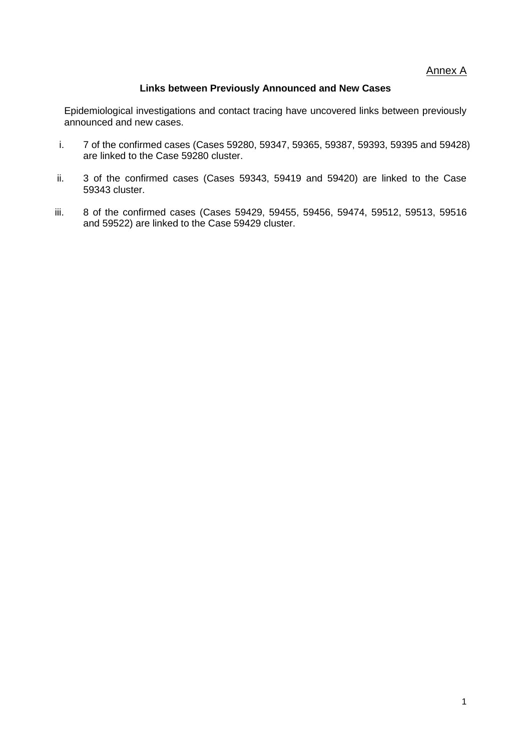Annex A

#### **Links between Previously Announced and New Cases**

Epidemiological investigations and contact tracing have uncovered links between previously announced and new cases.

- i. 7 of the confirmed cases (Cases 59280, 59347, 59365, 59387, 59393, 59395 and 59428) are linked to the Case 59280 cluster.
- ii. 3 of the confirmed cases (Cases 59343, 59419 and 59420) are linked to the Case 59343 cluster.
- iii. 8 of the confirmed cases (Cases 59429, 59455, 59456, 59474, 59512, 59513, 59516 and 59522) are linked to the Case 59429 cluster.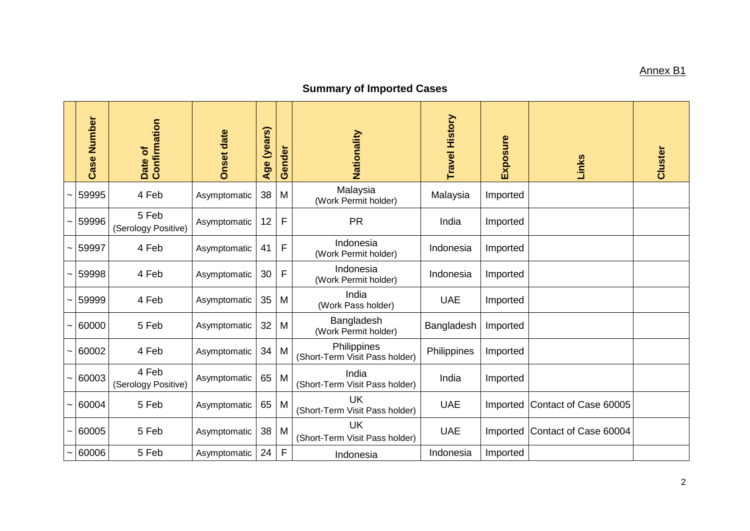## Annex B1

## **Summary of Imported Cases**

|                       | Number<br>Case | Confirmation<br>Date of      | <b>Onset date</b> | Age (years) | Gender      | Nationality                                   | Travel History    | Exposure | Links                 | Cluster |
|-----------------------|----------------|------------------------------|-------------------|-------------|-------------|-----------------------------------------------|-------------------|----------|-----------------------|---------|
|                       | 59995          | 4 Feb                        | Asymptomatic      | 38          | M           | Malaysia<br>(Work Permit holder)              | Malaysia          | Imported |                       |         |
|                       | 59996          | 5 Feb<br>(Serology Positive) | Asymptomatic      | 12          | F           | <b>PR</b>                                     | India             | Imported |                       |         |
|                       | 59997          | 4 Feb                        | Asymptomatic      | 41          | F           | Indonesia<br>(Work Permit holder)             | Indonesia         | Imported |                       |         |
|                       | 59998          | 4 Feb                        | Asymptomatic      | 30          | $\mathsf F$ | Indonesia<br>(Work Permit holder)             | Indonesia         | Imported |                       |         |
|                       | 59999          | 4 Feb                        | Asymptomatic      | 35          | M           | India<br>(Work Pass holder)                   | <b>UAE</b>        | Imported |                       |         |
|                       | 60000          | 5 Feb                        | Asymptomatic      | 32          | M           | Bangladesh<br>(Work Permit holder)            | <b>Bangladesh</b> | Imported |                       |         |
|                       | 60002          | 4 Feb                        | Asymptomatic      | 34          | M           | Philippines<br>(Short-Term Visit Pass holder) | Philippines       | Imported |                       |         |
| $\tilde{\phantom{a}}$ | 60003          | 4 Feb<br>(Serology Positive) | Asymptomatic      | 65          | M           | India<br>(Short-Term Visit Pass holder)       | India             | Imported |                       |         |
|                       | 60004          | 5 Feb                        | Asymptomatic      | 65          | M           | <b>UK</b><br>(Short-Term Visit Pass holder)   | <b>UAE</b>        | Imported | Contact of Case 60005 |         |
| $\tilde{\phantom{a}}$ | 60005          | 5 Feb                        | Asymptomatic      | 38          | M           | <b>UK</b><br>(Short-Term Visit Pass holder)   | <b>UAE</b>        | Imported | Contact of Case 60004 |         |
|                       | 60006          | 5 Feb                        | Asymptomatic      | 24          | F           | Indonesia                                     | Indonesia         | Imported |                       |         |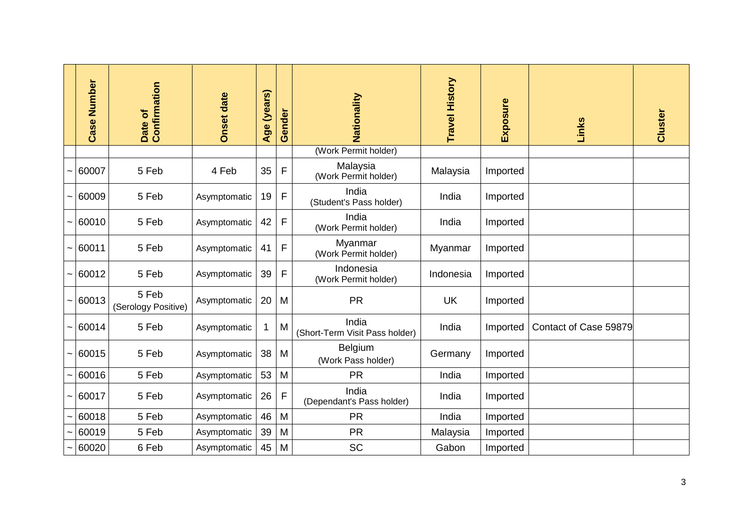|                       | <b>Case Number</b> | Confirmation<br>Date of      | <b>Onset date</b> | (years)<br>Age | Gender      | Nationality                             | <b>Travel History</b> | Exposure | Links                 | Cluster |
|-----------------------|--------------------|------------------------------|-------------------|----------------|-------------|-----------------------------------------|-----------------------|----------|-----------------------|---------|
|                       |                    |                              |                   |                |             | (Work Permit holder)                    |                       |          |                       |         |
|                       | 60007              | 5 Feb                        | 4 Feb             | 35             | F           | Malaysia<br>(Work Permit holder)        | Malaysia              | Imported |                       |         |
| $\tilde{\phantom{a}}$ | 60009              | 5 Feb                        | Asymptomatic      | 19             | F           | India<br>(Student's Pass holder)        | India                 | Imported |                       |         |
| $\tilde{\phantom{a}}$ | 60010              | 5 Feb                        | Asymptomatic      | 42             | F           | India<br>(Work Permit holder)           | India                 | Imported |                       |         |
|                       | 60011              | 5 Feb                        | Asymptomatic      | 41             | F           | Myanmar<br>(Work Permit holder)         | Myanmar               | Imported |                       |         |
|                       | 60012              | 5 Feb                        | Asymptomatic      | 39             | F           | Indonesia<br>(Work Permit holder)       | Indonesia             | Imported |                       |         |
|                       | 60013              | 5 Feb<br>(Serology Positive) | Asymptomatic      | 20             | M           | <b>PR</b>                               | <b>UK</b>             | Imported |                       |         |
| $\tilde{\phantom{a}}$ | 60014              | 5 Feb                        | Asymptomatic      | 1              | M           | India<br>(Short-Term Visit Pass holder) | India                 | Imported | Contact of Case 59879 |         |
| $\tilde{\phantom{a}}$ | 60015              | 5 Feb                        | Asymptomatic      | 38             | M           | Belgium<br>(Work Pass holder)           | Germany               | Imported |                       |         |
| $\tilde{\phantom{a}}$ | 60016              | 5 Feb                        | Asymptomatic      | 53             | M           | <b>PR</b>                               | India                 | Imported |                       |         |
| $\tilde{\phantom{a}}$ | 60017              | 5 Feb                        | Asymptomatic      | 26             | $\mathsf F$ | India<br>(Dependant's Pass holder)      | India                 | Imported |                       |         |
| $\tilde{\phantom{a}}$ | 60018              | 5 Feb                        | Asymptomatic      | 46             | M           | <b>PR</b>                               | India                 | Imported |                       |         |
|                       | 60019              | 5 Feb                        | Asymptomatic      | 39             | M           | <b>PR</b>                               | Malaysia              | Imported |                       |         |
|                       | 60020              | 6 Feb                        | Asymptomatic      | 45             | M           | SC                                      | Gabon                 | Imported |                       |         |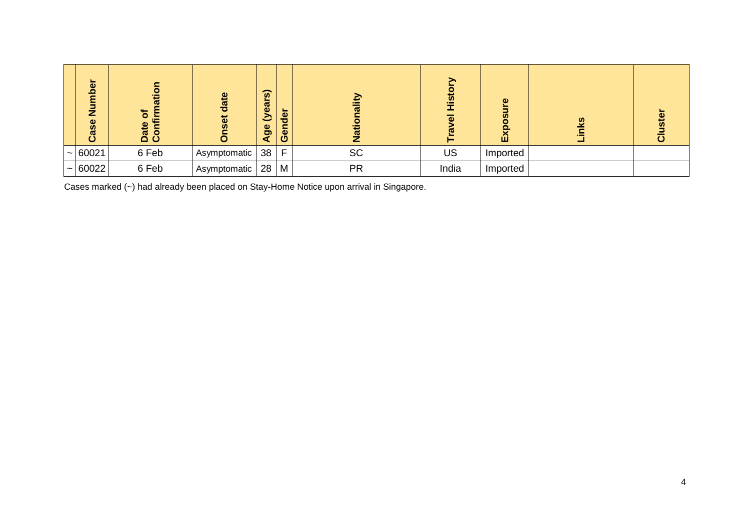| ō<br>Ο<br>g<br>z<br>Φ<br>Cas | œ<br>ិ<br>≧<br>$\mathbf{u}$<br>Date<br>Conf | ω<br>$\omega$<br>ō | (years)<br>Age | der<br>Ger | €<br><u>ល</u><br>z | $\underline{\boldsymbol{\omega}}$<br>$\omega$ | $\omega$<br><b>SC</b><br>$\mathbf{E}$ | $\frac{3}{2}$ |  |
|------------------------------|---------------------------------------------|--------------------|----------------|------------|--------------------|-----------------------------------------------|---------------------------------------|---------------|--|
| $\sim 60021$                 | 6 Feb                                       | Asymptomatic       | 38             | F          | <b>SC</b>          | US                                            | Imported                              |               |  |
| $\sim$ 60022                 | 6 Feb                                       | Asymptomatic       | 28             | M          | <b>PR</b>          | India                                         | Imported                              |               |  |

Cases marked (~) had already been placed on Stay-Home Notice upon arrival in Singapore.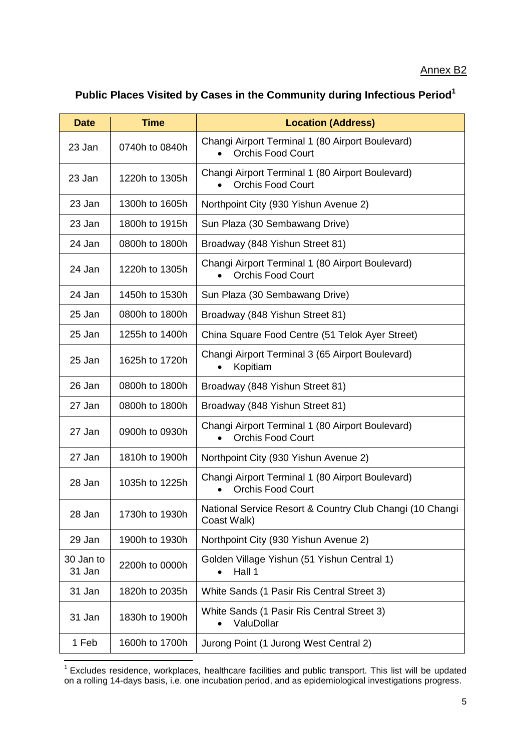#### Annex B2

# **Public Places Visited by Cases in the Community during Infectious Period<sup>1</sup>**

| <b>Date</b>         | <b>Time</b>    | <b>Location (Address)</b>                                                    |  |  |  |  |
|---------------------|----------------|------------------------------------------------------------------------------|--|--|--|--|
| 23 Jan              | 0740h to 0840h | Changi Airport Terminal 1 (80 Airport Boulevard)<br><b>Orchis Food Court</b> |  |  |  |  |
| 23 Jan              | 1220h to 1305h | Changi Airport Terminal 1 (80 Airport Boulevard)<br><b>Orchis Food Court</b> |  |  |  |  |
| 23 Jan              | 1300h to 1605h | Northpoint City (930 Yishun Avenue 2)                                        |  |  |  |  |
| 23 Jan              | 1800h to 1915h | Sun Plaza (30 Sembawang Drive)                                               |  |  |  |  |
| 24 Jan              | 0800h to 1800h | Broadway (848 Yishun Street 81)                                              |  |  |  |  |
| 24 Jan              | 1220h to 1305h | Changi Airport Terminal 1 (80 Airport Boulevard)<br><b>Orchis Food Court</b> |  |  |  |  |
| 24 Jan              | 1450h to 1530h | Sun Plaza (30 Sembawang Drive)                                               |  |  |  |  |
| 25 Jan              | 0800h to 1800h | Broadway (848 Yishun Street 81)                                              |  |  |  |  |
| 25 Jan              | 1255h to 1400h | China Square Food Centre (51 Telok Ayer Street)                              |  |  |  |  |
| 25 Jan              | 1625h to 1720h | Changi Airport Terminal 3 (65 Airport Boulevard)<br>Kopitiam                 |  |  |  |  |
| 26 Jan              | 0800h to 1800h | Broadway (848 Yishun Street 81)                                              |  |  |  |  |
| 27 Jan              | 0800h to 1800h | Broadway (848 Yishun Street 81)                                              |  |  |  |  |
| 27 Jan              | 0900h to 0930h | Changi Airport Terminal 1 (80 Airport Boulevard)<br><b>Orchis Food Court</b> |  |  |  |  |
| 27 Jan              | 1810h to 1900h | Northpoint City (930 Yishun Avenue 2)                                        |  |  |  |  |
| 28 Jan              | 1035h to 1225h | Changi Airport Terminal 1 (80 Airport Boulevard)<br><b>Orchis Food Court</b> |  |  |  |  |
| 28 Jan              | 1730h to 1930h | National Service Resort & Country Club Changi (10 Changi<br>Coast Walk)      |  |  |  |  |
| 29 Jan              | 1900h to 1930h | Northpoint City (930 Yishun Avenue 2)                                        |  |  |  |  |
| 30 Jan to<br>31 Jan | 2200h to 0000h | Golden Village Yishun (51 Yishun Central 1)<br>Hall 1                        |  |  |  |  |
| 31 Jan              | 1820h to 2035h | White Sands (1 Pasir Ris Central Street 3)                                   |  |  |  |  |
| 31 Jan              | 1830h to 1900h | White Sands (1 Pasir Ris Central Street 3)<br>ValuDollar                     |  |  |  |  |
| 1 Feb               | 1600h to 1700h | Jurong Point (1 Jurong West Central 2)                                       |  |  |  |  |

 1 Excludes residence, workplaces, healthcare facilities and public transport. This list will be updated on a rolling 14-days basis, i.e. one incubation period, and as epidemiological investigations progress.